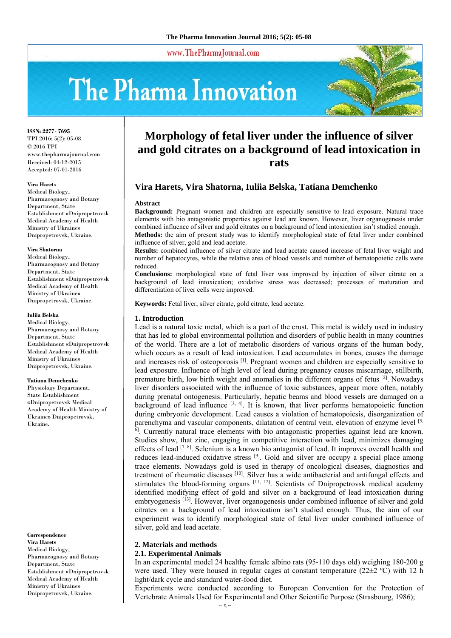www.ThePharmaJournal.com

# The Pharma Innovation



**ISSN: 2277- 7695** TPI 2016; 5(2): 05-08 © 2016 TPI www.thepharmajournal.com Received: 04-12-2015 Accepted: 07-01-2016

#### **Vira Harets**

Medical Biology, Pharmacognosy and Botany Department, State Establishment «Dnipropetrovsk Medical Academy of Health Ministry of Ukraine» Dnipropetrovsk, Ukraine.

#### **Vira Shatorna**

Medical Biology, Pharmacognosy and Botany Department, State Establishment «Dnipropetrovsk Medical Academy of Health Ministry of Ukraine» Dnipropetrovsk, Ukraine.

#### **Iuliia Belska**

Medical Biology, Pharmacognosy and Botany Department, State Establishment «Dnipropetrovsk Medical Academy of Health Ministry of Ukraine» Dnipropetrovsk, Ukraine.

#### **Tatiana Demchenko**

Physiology Department, State Establishment «Dnipropetrovsk Medical Academy of Health Ministry of Ukraine» Dnipropetrovsk, Ukraine.

**Correspondence Vira Harets**  Medical Biology, Pharmacognosy and Botany Department, State Establishment «Dnipropetrovsk Medical Academy of Health Ministry of Ukraine» Dnipropetrovsk, Ukraine.

# **Morphology of fetal liver under the influence of silver and gold citrates on a background of lead intoxication in rats**

# **Vira Harets, Vira Shatorna, Iuliia Belska, Tatiana Demchenko**

#### **Abstract**

**Background:** Pregnant women and children are especially sensitive to lead exposure. Natural trace elements with bio antagonistic properties against lead are known. However, liver organogenesis under combined influence of silver and gold citrates on a background of lead intoxication isn't studied enough. **Methods:** the aim of present study was to identify morphological state of fetal liver under combined influence of silver, gold and lead acetate.

**Results:** combined influence of silver citrate and lead acetate caused increase of fetal liver weight and number of hepatocytes, while the relative area of blood vessels and number of hematopoietic cells were reduced.

**Conclusions:** morphological state of fetal liver was improved by injection of silver citrate on a background of lead intoxication; oxidative stress was decreased; processes of maturation and differentiation of liver cells were improved.

**Keywords:** Fetal liver, silver citrate, gold citrate, lead acetate.

## **1. Introduction**

Lead is a natural toxic metal, which is a part of the crust. This metal is widely used in industry that has led to global environmental pollution and disorders of public health in many countries of the world. There are a lot of metabolic disorders of various organs of the human body, which occurs as a result of lead intoxication. Lead accumulates in bones, causes the damage and increases risk of osteoporosis [1]. Pregnant women and children are especially sensitive to lead exposure. Influence of high level of lead during pregnancy causes miscarriage, stillbirth, premature birth, low birth weight and anomalies in the different organs of fetus [2]. Nowadays liver disorders associated with the influence of toxic substances, appear more often, notably during prenatal ontogenesis. Particularly, hepatic beams and blood vessels are damaged on a background of lead influence  $[3, 4]$ . It is known, that liver performs hematopoietic function during embryonic development. Lead causes a violation of hematopoiesis, disorganization of parenchyma and vascular components, dilatation of central vein, elevation of enzyme level [5, <sup>6]</sup>. Currently natural trace elements with bio antagonistic properties against lead are known. Studies show, that zinc, engaging in competitive interaction with lead, minimizes damaging effects of lead  $[7, 8]$ . Selenium is a known bio antagonist of lead. It improves overall health and reduces lead-induced oxidative stress [9]. Gold and silver are occupy a special place among trace elements. Nowadays gold is used in therapy of oncological diseases, diagnostics and treatment of rheumatic diseases [10]. Silver has a wide antibacterial and antifungal effects and stimulates the blood-forming organs [11, 12]. Scientists of Dnipropetrovsk medical academy identified modifying effect of gold and silver on a background of lead intoxication during embryogenesis [13]. However, liver organogenesis under combined influence of silver and gold citrates on a background of lead intoxication isn't studied enough. Thus, the aim of our experiment was to identify morphological state of fetal liver under combined influence of silver, gold and lead acetate.

# **2. Materials and methods**

# **2.1. Experimental Animals**

In an experimental model 24 healthy female albino rats (95-110 days old) weighing 180-200 g were used. They were housed in regular cages at constant temperature  $(22\pm 2 \degree C)$  with 12 h light/dark cycle and standard water-food diet.

Experiments were conducted according to European Convention for the Protection of Vertebrate Animals Used for Experimental and Other Scientific Purpose (Strasbourg, 1986);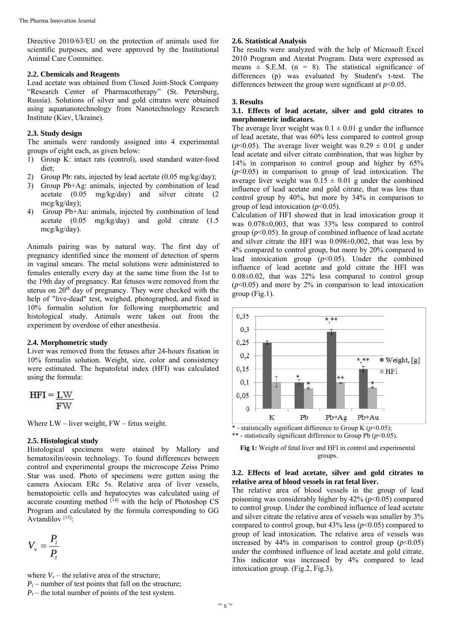Directive 2010/63/EU on the protection of animals used for scientific purposes, and were approved by the Institutional Animal Care Committee.

#### **2.2. Chemicals and Reagents**

Lead acetate was obtained from Closed Joint-Stock Company "Research Center of Pharmacotherapy" (St. Petersburg, Russia). Solutions of silver and gold citrates were obtained using aquananotechnology from Nanotechnology Research Institute (Kiev, Ukraine).

# **2.3. Study design**

The animals were randomly assigned into 4 experimental groups of eight each, as given below:

- 1) Group K: intact rats (control), used standard water-food diet;
- 2) Group Pb: rats, injected by lead acetate (0.05 mg/kg/day);
- 3) Group Pb+Ag: animals, injected by combination of lead acetate (0.05 mg/kg/day) and silver citrate (2 mcg/kg/day);
- 4) Group Pb+Au: animals, injected by combination of lead acetate (0.05 mg/kg/day) and gold citrate (1.5 mcg/kg/day).

Animals pairing was by natural way. The first day of pregnancy identified since the moment of detection of sperm in vaginal smears. The metal solutions were administered to females enterally every day at the same time from the 1st to the 19th day of pregnancy. Rat fetuses were removed from the uterus on  $20<sup>th</sup>$  day of pregnancy. They were checked with the help of "live-dead" test, weighed, photographed, and fixed in 10% formalin solution for following morphometric and histological study. Animals were taken out from the experiment by overdose of ether anesthesia.

#### **2.4. Morphometric study**

Liver was removed from the fetuses after 24-hours fixation in 10% formalin solution. Weight, size, color and consistency were estimated. The hepatofetal index (HFI) was calculated using the formula:

$$
HFI = \underline{LW}{FW}
$$

Where LW – liver weight, FW – fetus weight.

## **2.5. Histological study**

Histological specimens were stained by Mallory and hematoxilіn/eosin technology. To found differences between control and experimental groups the microscope Zeiss Primo Star was used. Photo of specimens were gotten using the camera Axiocam ERc 5s. Relative area of liver vessels, hematopoietic cells and hepatocytes was calculated using of accurate counting method <sup>[14]</sup> with the help of Photoshop CS Program and calculated by the formula corresponding to GG Avtandilov [15]:

$$
V_v = \frac{P_i}{P_t}
$$

where  $V_v$  – the relative area of the structure;  $P_i$  – number of test points that fall on the structure;  $P_t$  – the total number of points of the test system.

## **2.6. Statistical Analysis**

The results were analyzed with the help of Microsoft Excel 2010 Program and Atestat Program. Data were expressed as means  $\pm$  S.E.M. (n = 8). The statistical significance of differences (p) was evaluated by Student's t-test. The differences between the group were significant at  $p<0.05$ .

#### **3. Results**

## **3.1. Effects of lead acetate, silver and gold citrates to morphometric indicators.**

The average liver weight was  $0.1 \pm 0.01$  g under the influence of lead acetate, that was 60% less compared to control group ( $p$ <0.05). The average liver weight was  $0.29 \pm 0.01$  g under lead acetate and silver citrate combination, that was higher by 14% in comparison to control group and higher by 65%  $(p<0.05)$  in comparison to group of lead intoxication. The average liver weight was  $0.15 \pm 0.01$  g under the combined influence of lead acetate and gold citrate, that was less than control group by 40%, but more by 34% in comparison to group of lead intoxication  $(p<0.05)$ .

Calculation of HFI showed that in lead intoxication group it was 0.078±0,003, that was 33% less compared to control group  $(p<0.05)$ . In group of combined influence of lead acetate and silver citrate the HFI was 0.098±0,002, that was less by 4% compared to control group, but more by 20% compared to lead intoxication group (*p*<0.05). Under the combined influence of lead acetate and gold citrate the HFI was  $0.08\pm0.02$ , that was 22% less compared to control group  $(p<0.05)$  and more by 2% in comparison to lead intoxication group (Fig.1).



\* - statistically significant difference to Group K  $(p<0.05)$ ; \*\* - statistically significant difference to Group Pb (*p*<0.05).

**Fig 1:** Weight of fetal liver and HFI in control and experimental groups.

## **3.2. Effects of lead acetate, silver and gold citrates to relative area of blood vessels in rat fetal liver.**

The relative area of blood vessels in the group of lead poisoning was considerably higher by 42% (*p*<0.05) compared to control group. Under the combined influence of lead acetate and silver citrate the relative area of vessels was smaller by 3% compared to control group, but  $43\%$  less ( $p<0.05$ ) compared to group of lead intoxication. The relative area of vessels was increased by  $44\%$  in comparison to control group  $(p<0.05)$ under the combined influence of lead acetate and gold citrate. This indicator was increased by 4% compared to lead intoxication group. (Fig.2, Fig.3).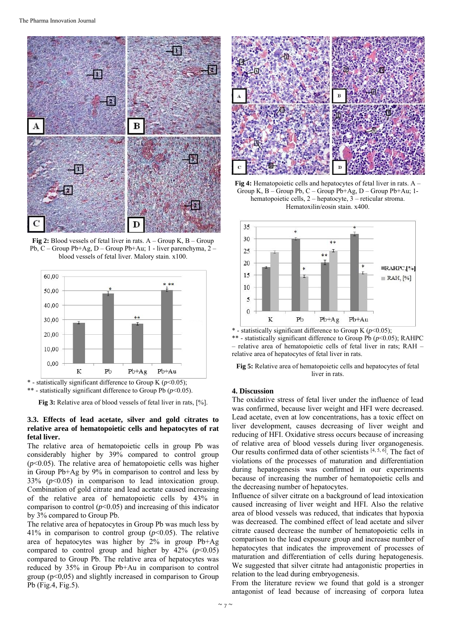

**Fig 2:** Blood vessels of fetal liver in rats. A – Group K, B – Group Pb, C – Group Pb+Ag, D – Group Pb+Au; 1 - liver parenchyma, 2 – blood vessels of fetal liver. Malory stain. x100.



\* - statistically significant difference to Group K  $(p<0.05)$ ; \*\* - statistically significant difference to Group Pb (*p*<0.05).

**Fig 3:** Relative area of blood vessels of fetal liver in rats, [%].

# **3.3. Effects of lead acetate, silver and gold citrates to relative area of hematopoietic cells and hepatocytes of rat fetal liver.**

The relative area of hematopoietic cells in group Pb was considerably higher by 39% compared to control group  $(p<0.05)$ . The relative area of hematopoietic cells was higher in Group Pb+Ag by 9% in comparison to control and less by 33% (*p*<0.05) in comparison to lead intoxication group. Combination of gold citrate and lead acetate caused increasing of the relative area of hematopoietic cells by 43% in comparison to control  $(p<0.05)$  and increasing of this indicator by 3% compared to Group Pb.

The relative area of hepatocytes in Group Pb was much less by 41% in comparison to control group (*p*<0.05). The relative area of hepatocytes was higher by 2% in group Pb+Ag compared to control group and higher by  $42\%$  ( $p<0.05$ ) compared to Group Pb. The relative area of hepatocytes was reduced by 35% in Group Pb+Au in comparison to control group ( $p<0,05$ ) and slightly increased in comparison to Group Pb (Fig.4, Fig.5).



**Fig 4:** Hematopoietic cells and hepatocytes of fetal liver in rats. A – Group K, B – Group Pb, C – Group Pb+Ag, D – Group Pb+Au; 1 hematopoietic cells, 2 – hepatocyte, 3 – reticular stroma. Hematoxilin/eosin stain. x400.



\* - statistically significant difference to Group K (*p*<0.05); \*\* - statistically significant difference to Group Pb (*p*<0.05); RAHPC – relative area of hematopoietic cells of fetal liver in rats; RAH – relative area of hepatocytes of fetal liver in rats.



#### **4. Discussion**

The oxidative stress of fetal liver under the influence of lead was confirmed, because liver weight and HFI were decreased. Lead acetate, even at low concentrations, has a toxic effect on liver development, causes decreasing of liver weight and reducing of HFI. Oxidative stress occurs because of increasing of relative area of blood vessels during liver organogenesis. Our results confirmed data of other scientists [4, 5, 6]. The fact of violations of the processes of maturation and differentiation during hepatogenesis was confirmed in our experiments because of increasing the number of hematopoietic cells and the decreasing number of hepatocytes.

Influence of silver citrate on a background of lead intoxication caused increasing of liver weight and HFI. Also the relative area of blood vessels was reduced, that indicates that hypoxia was decreased. The combined effect of lead acetate and silver citrate caused decrease the number of hematopoietic cells in comparison to the lead exposure group and increase number of hepatocytes that indicates the improvement of processes of maturation and differentiation of cells during hepatogenesis. We suggested that silver citrate had antagonistic properties in relation to the lead during embryogenesis.

From the literature review we found that gold is a stronger antagonist of lead because of increasing of corpora lutea